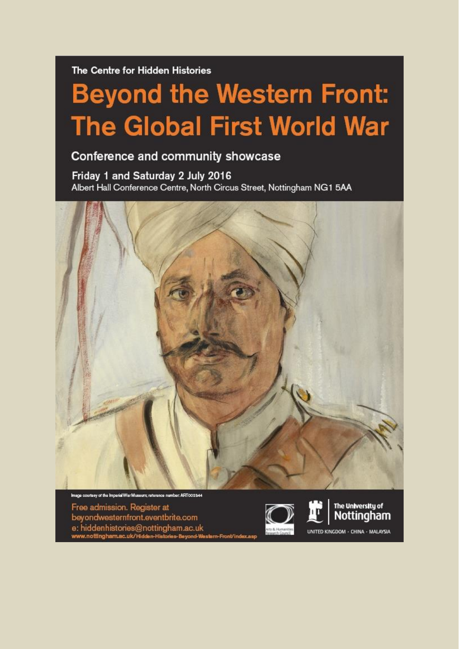The Centre for Hidden Histories

## **Beyond the Western Front: The Global First World War**

## Conference and community showcase

Friday 1 and Saturday 2 July 2016 Albert Hall Conference Centre, North Circus Street, Nottingham NG1 5AA



ART002344 soe courtesy of the Imperial War M

Free admission. Register at beyondwesternfront.eventbrite.com e: hiddenhistories@nottingham.ac.uk<br>www.nottingham.ac.uk/Hidden-Histories-Beyond-We





UNITED KINGDOM - CHINA - MALAYSIA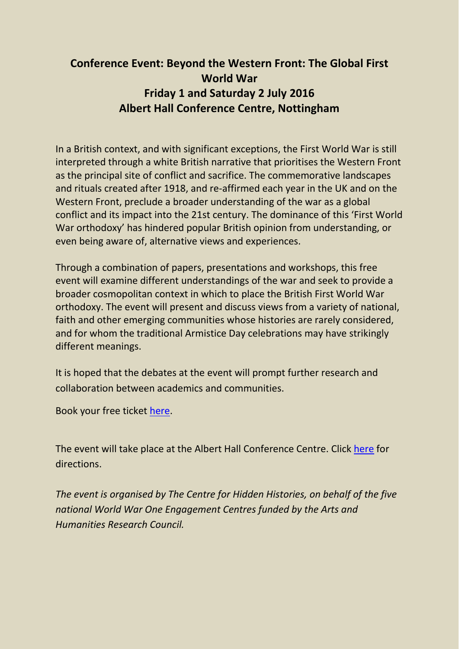## **Conference Event: Beyond the Western Front: The Global First World War Friday 1 and Saturday 2 July 2016 Albert Hall Conference Centre, Nottingham**

In a British context, and with significant exceptions, the First World War is still interpreted through a white British narrative that prioritises the Western Front as the principal site of conflict and sacrifice. The commemorative landscapes and rituals created after 1918, and re-affirmed each year in the UK and on the Western Front, preclude a broader understanding of the war as a global conflict and its impact into the 21st century. The dominance of this 'First World War orthodoxy' has hindered popular British opinion from understanding, or even being aware of, alternative views and experiences.

Through a combination of papers, presentations and workshops, this free event will examine different understandings of the war and seek to provide a broader cosmopolitan context in which to place the British First World War orthodoxy. The event will present and discuss views from a variety of national, faith and other emerging communities whose histories are rarely considered, and for whom the traditional Armistice Day celebrations may have strikingly different meanings.

It is hoped that the debates at the event will prompt further research and collaboration between academics and communities.

Book your free ticket [here.](https://www.eventbrite.com/e/beyond-the-western-front-the-global-first-world-war-conference-tickets-25258572069)

The event will take place at the Albert Hall Conference Centre. Click [here](http://www.alberthallnottingham.co.uk/FindUs) for directions.

*The event is organised by The Centre for Hidden Histories, on behalf of the five national World War One Engagement Centres funded by the Arts and Humanities Research Council.*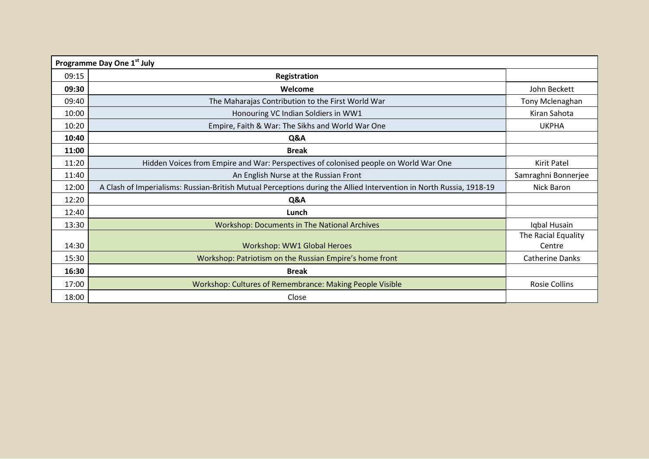| Programme Day One 1st July |                                                                                                                     |                               |  |
|----------------------------|---------------------------------------------------------------------------------------------------------------------|-------------------------------|--|
| 09:15                      | Registration                                                                                                        |                               |  |
| 09:30                      | Welcome                                                                                                             | John Beckett                  |  |
| 09:40                      | The Maharajas Contribution to the First World War                                                                   | Tony Mclenaghan               |  |
| 10:00                      | Honouring VC Indian Soldiers in WW1                                                                                 | Kiran Sahota                  |  |
| 10:20                      | Empire, Faith & War: The Sikhs and World War One                                                                    | <b>UKPHA</b>                  |  |
| 10:40                      | Q&A                                                                                                                 |                               |  |
| 11:00                      | <b>Break</b>                                                                                                        |                               |  |
| 11:20                      | Hidden Voices from Empire and War: Perspectives of colonised people on World War One                                | Kirit Patel                   |  |
| 11:40                      | An English Nurse at the Russian Front                                                                               | Samraghni Bonnerjee           |  |
| 12:00                      | A Clash of Imperialisms: Russian-British Mutual Perceptions during the Allied Intervention in North Russia, 1918-19 | Nick Baron                    |  |
| 12:20                      | Q&A                                                                                                                 |                               |  |
| 12:40                      | Lunch                                                                                                               |                               |  |
| 13:30                      | <b>Workshop: Documents in The National Archives</b>                                                                 | Iqbal Husain                  |  |
| 14:30                      | Workshop: WW1 Global Heroes                                                                                         | The Racial Equality<br>Centre |  |
| 15:30                      | Workshop: Patriotism on the Russian Empire's home front                                                             | <b>Catherine Danks</b>        |  |
| 16:30                      | <b>Break</b>                                                                                                        |                               |  |
| 17:00                      | Workshop: Cultures of Remembrance: Making People Visible                                                            | <b>Rosie Collins</b>          |  |
| 18:00                      | Close                                                                                                               |                               |  |